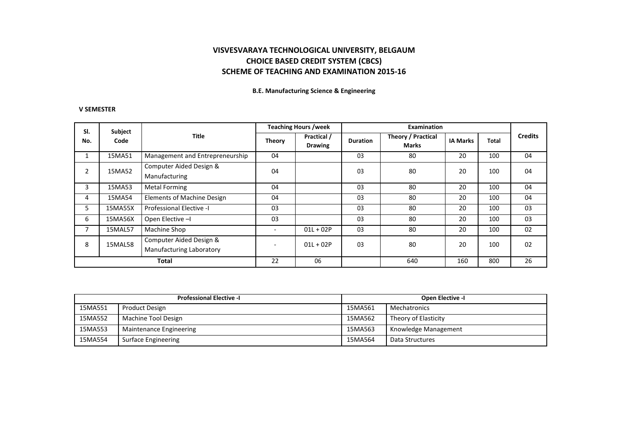**B.E. Manufacturing Science & Engineering** 

### **V SEMESTER**

| SI.          | Subject |                                                     |        | <b>Teaching Hours /week</b>   |                 | <b>Examination</b>                 |                 |              |                |
|--------------|---------|-----------------------------------------------------|--------|-------------------------------|-----------------|------------------------------------|-----------------|--------------|----------------|
| No.          | Code    | Title                                               | Theory | Practical /<br><b>Drawing</b> | <b>Duration</b> | <b>Theory / Practical</b><br>Marks | <b>IA Marks</b> | <b>Total</b> | <b>Credits</b> |
|              | 15MA51  | Management and Entrepreneurship                     | 04     |                               | 03              | 80                                 | 20              | 100          | 04             |
| 2            | 15MA52  | Computer Aided Design &<br>Manufacturing            | 04     |                               | 03              | 80                                 | 20              | 100          | 04             |
| 3            | 15MA53  | <b>Metal Forming</b>                                | 04     |                               | 03              | 80                                 | 20              | 100          | 04             |
| 4            | 15MA54  | <b>Elements of Machine Design</b>                   | 04     |                               | 03              | 80                                 | 20              | 100          | 04             |
| 5            | 15MA55X | Professional Elective -I                            | 03     |                               | 03              | 80                                 | 20              | 100          | 03             |
| 6            | 15MA56X | Open Elective -                                     | 03     |                               | 03              | 80                                 | 20              | 100          | 03             |
|              | 15MAL57 | Machine Shop                                        |        | $01L + 02P$                   | 03              | 80                                 | 20              | 100          | 02             |
| 8            | 15MAL58 | Computer Aided Design &<br>Manufacturing Laboratory |        | $01L + 02P$                   | 03              | 80                                 | 20              | 100          | 02             |
| <b>Total</b> |         | 22                                                  | 06     |                               | 640             | 160                                | 800             | 26           |                |

| <b>Professional Elective -I</b> |                            |         | <b>Open Elective -I</b> |
|---------------------------------|----------------------------|---------|-------------------------|
| 15MA551                         | <b>Product Design</b>      | 15MA561 | Mechatronics            |
| 15MA552                         | Machine Tool Design        | 15MA562 | Theory of Elasticity    |
| 15MA553                         | Maintenance Engineering    | 15MA563 | Knowledge Management    |
| 15MA554                         | <b>Surface Engineering</b> | 15MA564 | Data Structures         |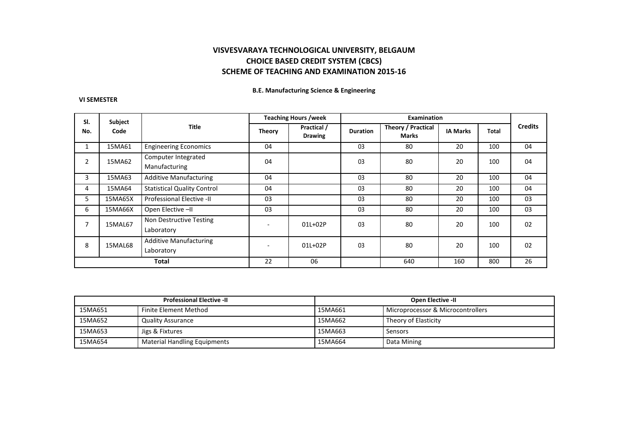#### **B.E. Manufacturing Science & Engineering**

#### **VI SEMESTER**

| SI.          | Subject |                                             |               | <b>Teaching Hours /week</b>   |                 | <b>Examination</b>          |                 |       |                |
|--------------|---------|---------------------------------------------|---------------|-------------------------------|-----------------|-----------------------------|-----------------|-------|----------------|
| No.          | Code    | <b>Title</b>                                | <b>Theory</b> | Practical /<br><b>Drawing</b> | <b>Duration</b> | Theory / Practical<br>Marks | <b>IA Marks</b> | Total | <b>Credits</b> |
|              | 15MA61  | <b>Engineering Economics</b>                | 04            |                               | 03              | 80                          | 20              | 100   | 04             |
| 2            | 15MA62  | Computer Integrated<br>Manufacturing        | 04            |                               | 03              | 80                          | 20              | 100   | 04             |
| 3            | 15MA63  | <b>Additive Manufacturing</b>               | 04            |                               | 03              | 80                          | 20              | 100   | 04             |
| 4            | 15MA64  | <b>Statistical Quality Control</b>          | 04            |                               | 03              | 80                          | 20              | 100   | 04             |
| 5            | 15MA65X | Professional Elective -II                   | 03            |                               | 03              | 80                          | 20              | 100   | 03             |
| 6            | 15MA66X | Open Elective -II                           | 03            |                               | 03              | 80                          | 20              | 100   | 03             |
| 7            | 15MAL67 | Non Destructive Testing<br>Laboratory       |               | 01L+02P                       | 03              | 80                          | 20              | 100   | 02             |
| 8            | 15MAL68 | <b>Additive Manufacturing</b><br>Laboratory |               | 01L+02P                       | 03              | 80                          | 20              | 100   | 02             |
| <b>Total</b> |         | 22                                          | 06            |                               | 640             | 160                         | 800             | 26    |                |

| <b>Professional Elective -II</b> |                                     | <b>Open Elective -II</b>                     |                      |  |
|----------------------------------|-------------------------------------|----------------------------------------------|----------------------|--|
| 15MA651                          | Finite Element Method               | 15MA661<br>Microprocessor & Microcontrollers |                      |  |
| 15MA652                          | <b>Quality Assurance</b>            | 15MA662                                      | Theory of Elasticity |  |
| 15MA653                          | Jigs & Fixtures                     | 15MA663                                      | Sensors              |  |
| 15MA654                          | <b>Material Handling Equipments</b> | 15MA664                                      | Data Mining          |  |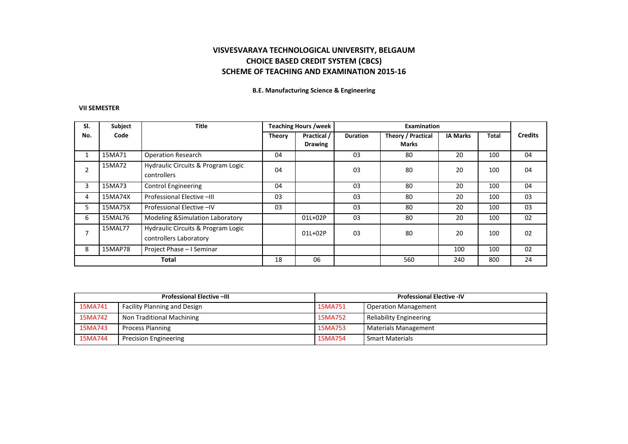**B.E. Manufacturing Science & Engineering** 

### **VII SEMESTER**

| SI.            | Subject | <b>Title</b>                                                 | <b>Teaching Hours /week</b> |                | Examination     |                    |                 |       |                |
|----------------|---------|--------------------------------------------------------------|-----------------------------|----------------|-----------------|--------------------|-----------------|-------|----------------|
| No.            | Code    |                                                              | Theory                      | Practical /    | <b>Duration</b> | Theory / Practical | <b>IA Marks</b> | Total | <b>Credits</b> |
|                |         |                                                              |                             | <b>Drawing</b> |                 | <b>Marks</b>       |                 |       |                |
|                | 15MA71  | <b>Operation Research</b>                                    | 04                          |                | 03              | 80                 | 20              | 100   | 04             |
| 2              | 15MA72  | Hydraulic Circuits & Program Logic<br>controllers            | 04                          |                | 03              | 80                 | 20              | 100   | 04             |
| 3              | 15MA73  | <b>Control Engineering</b>                                   | 04                          |                | 03              | 80                 | 20              | 100   | 04             |
| 4              | 15MA74X | Professional Elective -III                                   | 03                          |                | 03              | 80                 | 20              | 100   | 03             |
| 5.             | 15MA75X | Professional Elective -IV                                    | 03                          |                | 03              | 80                 | 20              | 100   | 03             |
| 6              | 15MAL76 | <b>Modeling &amp; Simulation Laboratory</b>                  |                             | 01L+02P        | 03              | 80                 | 20              | 100   | 02             |
| $\overline{ }$ | 15MAL77 | Hydraulic Circuits & Program Logic<br>controllers Laboratory |                             | $01L+02P$      | 03              | 80                 | 20              | 100   | 02             |
| 8              | 15MAP78 | Project Phase - I Seminar                                    |                             |                |                 |                    | 100             | 100   | 02             |
| <b>Total</b>   |         | 18                                                           | 06                          |                | 560             | 240                | 800             | 24    |                |

|         | <b>Professional Elective -- III</b> | <b>Professional Elective -IV</b> |                                |  |
|---------|-------------------------------------|----------------------------------|--------------------------------|--|
| 15MA741 | <b>Facility Planning and Design</b> | 15MA751                          | Operation Management           |  |
| 15MA742 | Non Traditional Machining           | 15MA752                          | <b>Reliability Engineering</b> |  |
| 15MA743 | <b>Process Planning</b>             | 15MA753                          | Materials Management           |  |
| 15MA744 | <b>Precision Engineering</b>        | 15MA754                          | <b>Smart Materials</b>         |  |